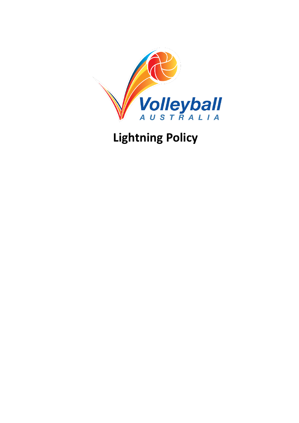

**Lightning Policy**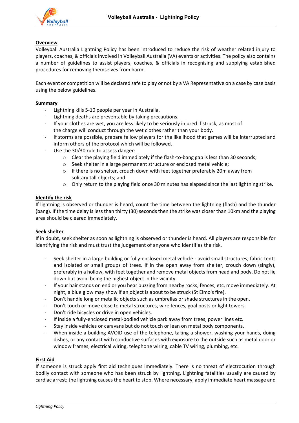

# **Overview**

Volleyball Australia Lightning Policy has been introduced to reduce the risk of weather related injury to players, coaches, & officials involved in Volleyball Australia (VA) events or activities. The policy also contains a number of guidelines to assist players, coaches, & officials in recognising and supplying established procedures for removing themselves from harm.

Each event or competition will be declared safe to play or not by a VA Representative on a case by case basis using the below guidelines.

#### **Summary**

- Lightning kills 5-10 people per year in Australia.
- Lightning deaths are preventable by taking precautions.
- If your clothes are wet, you are less likely to be seriously injured if struck, as most of the charge will conduct through the wet clothes rather than your body.
- If storms are possible, prepare fellow players for the likelihood that games will be interrupted and inform others of the protocol which will be followed.
- Use the 30/30 rule to assess danger:
	- o Clear the playing field immediately if the flash-to-bang gap is less than 30 seconds;
	- o Seek shelter in a large permanent structure or enclosed metal vehicle;
	- $\circ$  If there is no shelter, crouch down with feet together preferably 20m away from solitary tall objects; and
	- $\circ$  Only return to the playing field once 30 minutes has elapsed since the last lightning strike.

## **Identify the risk**

If lightning is observed or thunder is heard, count the time between the lightning (flash) and the thunder (bang). If the time delay is less than thirty (30) seconds then the strike was closer than 10km and the playing area should be cleared immediately.

## **Seek shelter**

If in doubt, seek shelter as soon as lightning is observed or thunder is heard. All players are responsible for identifying the risk and must trust the judgement of anyone who identifies the risk.

- Seek shelter in a large building or fully-enclosed metal vehicle avoid small structures, fabric tents and isolated or small groups of trees. If in the open away from shelter, crouch down (singly), preferably in a hollow, with feet together and remove metal objects from head and body. Do not lie down but avoid being the highest object in the vicinity.
- If your hair stands on end or you hear buzzing from nearby rocks, fences, etc, move immediately. At night, a blue glow may show if an object is about to be struck (St Elmo's fire).
- Don't handle long or metallic objects such as umbrellas or shade structures in the open.
- Don't touch or move close to metal structures, wire fences, goal posts or light towers.
- Don't ride bicycles or drive in open vehicles.
- If inside a fully-enclosed metal-bodied vehicle park away from trees, power lines etc.
- Stay inside vehicles or caravans but do not touch or lean on metal body components.
- When inside a building AVOID use of the telephone, taking a shower, washing your hands, doing dishes, or any contact with conductive surfaces with exposure to the outside such as metal door or window frames, electrical wiring, telephone wiring, cable TV wiring, plumbing, etc.

## **First Aid**

If someone is struck apply first aid techniques immediately. There is no threat of electrocution through bodily contact with someone who has been struck by lightning. Lightning fatalities usually are caused by cardiac arrest; the lightning causes the heart to stop. Where necessary, apply immediate heart massage and